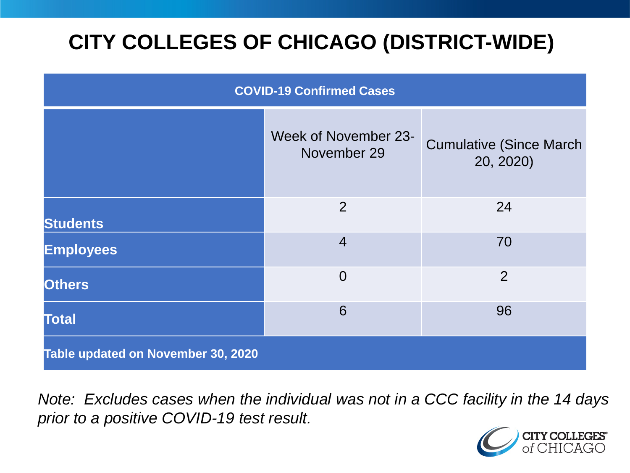# **CITY COLLEGES OF CHICAGO (DISTRICT-WIDE)**

| <b>COVID-19 Confirmed Cases</b>    |                                            |                                              |
|------------------------------------|--------------------------------------------|----------------------------------------------|
|                                    | <b>Week of November 23-</b><br>November 29 | <b>Cumulative (Since March)</b><br>20, 2020) |
| <b>Students</b>                    | $\overline{2}$                             | 24                                           |
| <b>Employees</b>                   | $\overline{4}$                             | 70                                           |
| <b>Others</b>                      | $\overline{0}$                             | $\overline{2}$                               |
| <b>Total</b>                       | 6                                          | 96                                           |
| Table updated on November 30, 2020 |                                            |                                              |

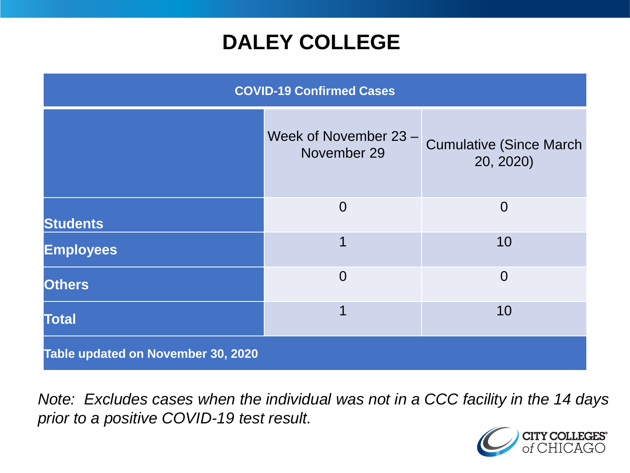## **DALEY COLLEGE**

| <b>COVID-19 Confirmed Cases</b>    |                                      |                                              |
|------------------------------------|--------------------------------------|----------------------------------------------|
|                                    | Week of November 23 -<br>November 29 | <b>Cumulative (Since March)</b><br>20, 2020) |
| <b>Students</b>                    | $\overline{0}$                       | $\overline{0}$                               |
| <b>Employees</b>                   | 1                                    | 10                                           |
| <b>Others</b>                      | $\overline{0}$                       | $\overline{0}$                               |
| <b>Total</b>                       | 1                                    | 10                                           |
| Table updated on November 30, 2020 |                                      |                                              |

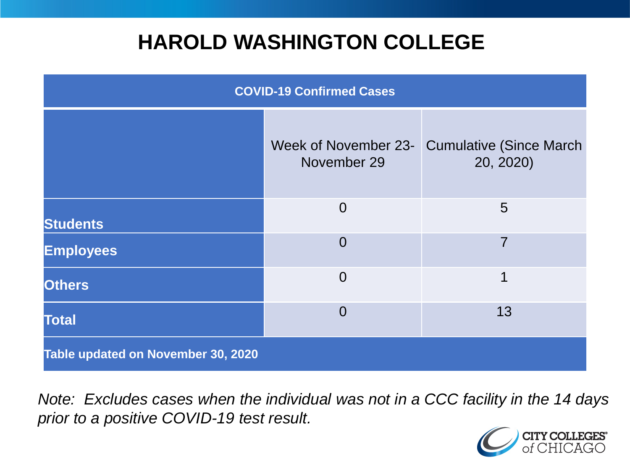## **HAROLD WASHINGTON COLLEGE**

| <b>COVID-19 Confirmed Cases</b>    |                                     |                                              |
|------------------------------------|-------------------------------------|----------------------------------------------|
|                                    | Week of November 23-<br>November 29 | <b>Cumulative (Since March)</b><br>20, 2020) |
| <b>Students</b>                    | $\overline{0}$                      | 5                                            |
| <b>Employees</b>                   | $\Omega$                            | 7                                            |
| <b>Others</b>                      | $\overline{0}$                      | 1                                            |
| <b>Total</b>                       | $\Omega$                            | 13                                           |
| Table updated on November 30, 2020 |                                     |                                              |

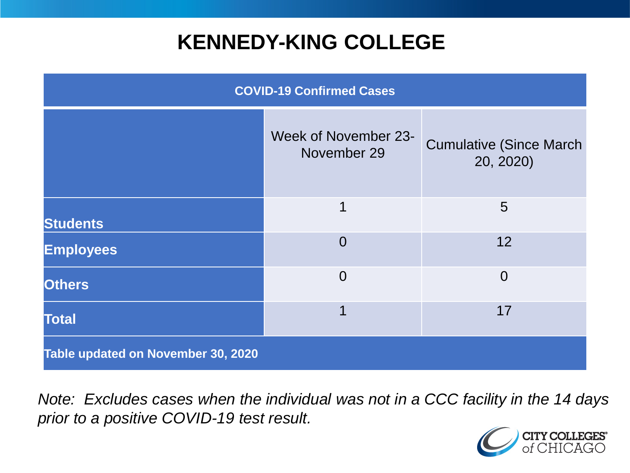## **KENNEDY-KING COLLEGE**

| <b>COVID-19 Confirmed Cases</b>    |                                     |                                              |
|------------------------------------|-------------------------------------|----------------------------------------------|
|                                    | Week of November 23-<br>November 29 | <b>Cumulative (Since March)</b><br>20, 2020) |
| <b>Students</b>                    | 1                                   | 5                                            |
| <b>Employees</b>                   | $\overline{0}$                      | 12                                           |
| <b>Others</b>                      | $\overline{0}$                      | $\overline{0}$                               |
| <b>Total</b>                       | 1                                   | 17                                           |
| Table updated on November 30, 2020 |                                     |                                              |

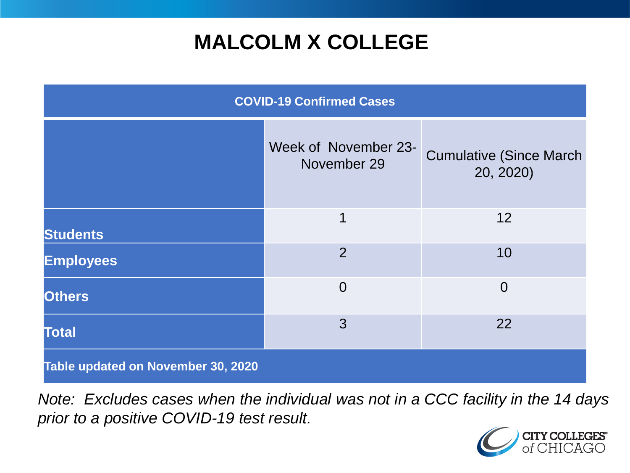## **MALCOLM X COLLEGE**

| <b>COVID-19 Confirmed Cases</b>    |                                     |                                              |
|------------------------------------|-------------------------------------|----------------------------------------------|
|                                    | Week of November 23-<br>November 29 | <b>Cumulative (Since March)</b><br>20, 2020) |
| <b>Students</b>                    | 1                                   | 12                                           |
| <b>Employees</b>                   | $\overline{2}$                      | 10                                           |
| <b>Others</b>                      | $\overline{0}$                      | $\overline{0}$                               |
| <b>Total</b>                       | 3                                   | 22                                           |
| Table updated on November 30, 2020 |                                     |                                              |

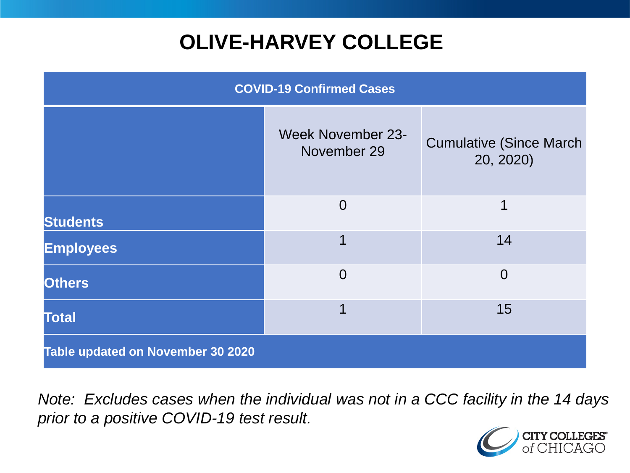# **OLIVE-HARVEY COLLEGE**

| <b>COVID-19 Confirmed Cases</b>   |                                         |                                              |
|-----------------------------------|-----------------------------------------|----------------------------------------------|
|                                   | <b>Week November 23-</b><br>November 29 | <b>Cumulative (Since March)</b><br>20, 2020) |
| <b>Students</b>                   | $\overline{0}$                          | 1                                            |
| <b>Employees</b>                  |                                         | 14                                           |
| <b>Others</b>                     | $\overline{0}$                          | $\overline{0}$                               |
| <b>Total</b>                      |                                         | 15                                           |
| Table updated on November 30 2020 |                                         |                                              |

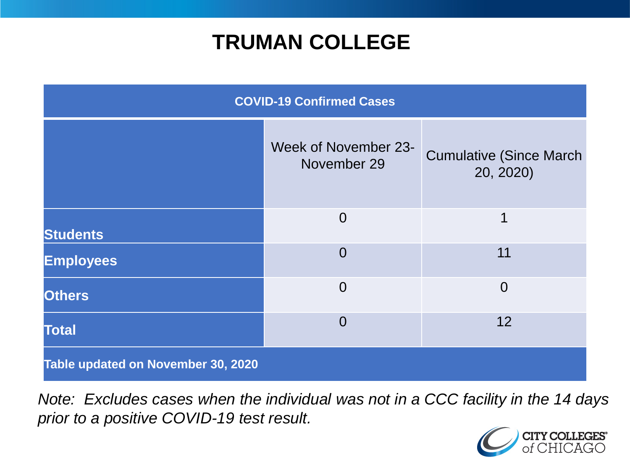## **TRUMAN COLLEGE**

| <b>COVID-19 Confirmed Cases</b>    |                                            |                                              |
|------------------------------------|--------------------------------------------|----------------------------------------------|
|                                    | <b>Week of November 23-</b><br>November 29 | <b>Cumulative (Since March)</b><br>20, 2020) |
| <b>Students</b>                    | $\overline{0}$                             | 1                                            |
| <b>Employees</b>                   | $\overline{0}$                             | 11                                           |
| <b>Others</b>                      | $\overline{0}$                             | $\overline{0}$                               |
| <b>Total</b>                       | $\overline{0}$                             | 12                                           |
| Table updated on November 30, 2020 |                                            |                                              |

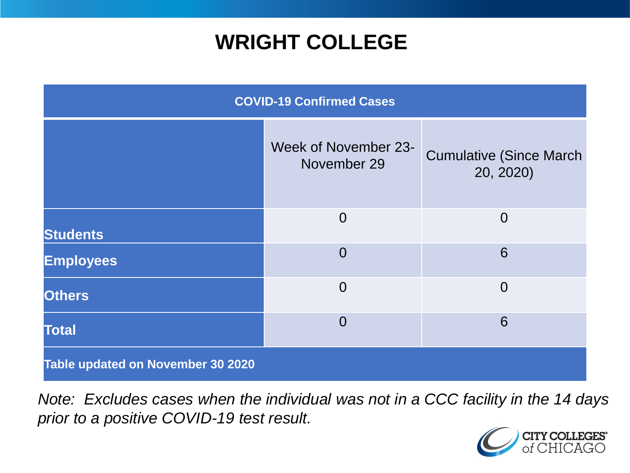## **WRIGHT COLLEGE**

| <b>COVID-19 Confirmed Cases</b>   |                                            |                                              |
|-----------------------------------|--------------------------------------------|----------------------------------------------|
|                                   | <b>Week of November 23-</b><br>November 29 | <b>Cumulative (Since March)</b><br>20, 2020) |
| <b>Students</b>                   | $\overline{0}$                             | $\overline{0}$                               |
| <b>Employees</b>                  | $\overline{0}$                             | 6                                            |
| <b>Others</b>                     | $\overline{0}$                             | $\overline{0}$                               |
| <b>Total</b>                      | $\overline{0}$                             | 6                                            |
| Table updated on November 30 2020 |                                            |                                              |